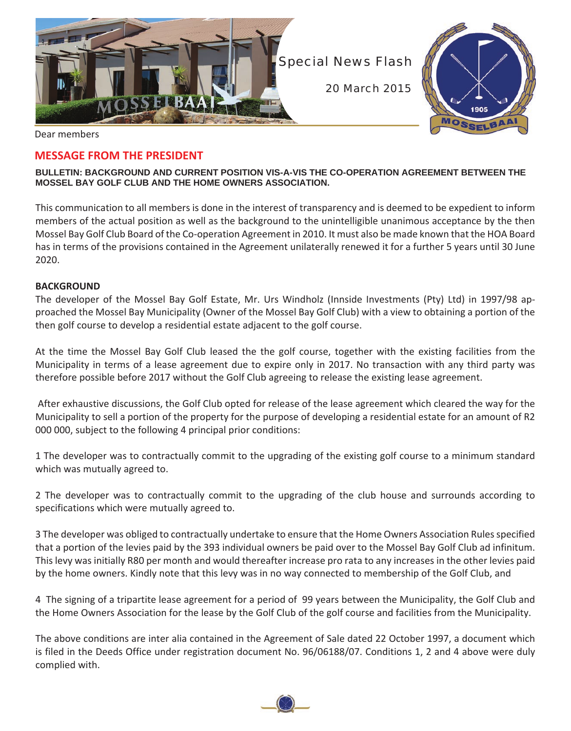

Dear members

# **MESSAGE FROM THE PRESIDENT**

#### **BULLETIN: BACKGROUND AND CURRENT POSITION VIS-A-VIS THE CO-OPERATION AGREEMENT BETWEEN THE MOSSEL BAY GOLF CLUB AND THE HOME OWNERS ASSOCIATION.**

This communication to all members is done in the interest of transparency and is deemed to be expedient to inform members of the actual position as well as the background to the unintelligible unanimous acceptance by the then Mossel Bay Golf Club Board of the Co-operation Agreement in 2010. It must also be made known that the HOA Board has in terms of the provisions contained in the Agreement unilaterally renewed it for a further 5 years until 30 June 2020.

#### **BACKGROUND**

The developer of the Mossel Bay Golf Estate, Mr. Urs Windholz (Innside Investments (Pty) Ltd) in 1997/98 approached the Mossel Bay Municipality (Owner of the Mossel Bay Golf Club) with a view to obtaining a portion of the then golf course to develop a residential estate adjacent to the golf course.

At the time the Mossel Bay Golf Club leased the the golf course, together with the existing facilities from the Municipality in terms of a lease agreement due to expire only in 2017. No transaction with any third party was therefore possible before 2017 without the Golf Club agreeing to release the existing lease agreement.

 After exhaustive discussions, the Golf Club opted for release of the lease agreement which cleared the way for the Municipality to sell a portion of the property for the purpose of developing a residential estate for an amount of R2 000 000, subject to the following 4 principal prior conditions:

1 The developer was to contractually commit to the upgrading of the existing golf course to a minimum standard which was mutually agreed to.

2 The developer was to contractually commit to the upgrading of the club house and surrounds according to specifications which were mutually agreed to.

3 The developer was obliged to contractually undertake to ensure that the Home Owners Association Rules specified that a portion of the levies paid by the 393 individual owners be paid over to the Mossel Bay Golf Club ad infinitum. This levy was initially R80 per month and would thereafter increase pro rata to any increases in the other levies paid by the home owners. Kindly note that this levy was in no way connected to membership of the Golf Club, and

4 The signing of a tripartite lease agreement for a period of 99 years between the Municipality, the Golf Club and the Home Owners Association for the lease by the Golf Club of the golf course and facilities from the Municipality.

The above conditions are inter alia contained in the Agreement of Sale dated 22 October 1997, a document which is filed in the Deeds Office under registration document No. 96/06188/07. Conditions 1, 2 and 4 above were duly complied with.

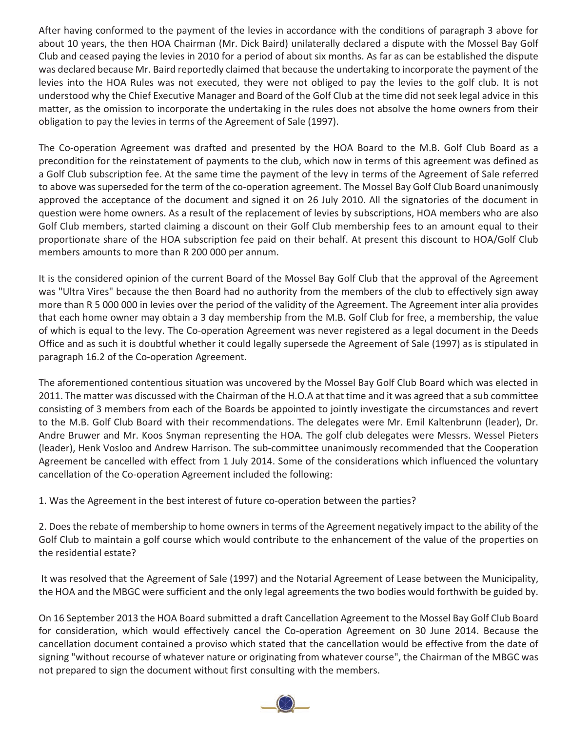After having conformed to the payment of the levies in accordance with the conditions of paragraph 3 above for about 10 years, the then HOA Chairman (Mr. Dick Baird) unilaterally declared a dispute with the Mossel Bay Golf Club and ceased paying the levies in 2010 for a period of about six months. As far as can be established the dispute was declared because Mr. Baird reportedly claimed that because the undertaking to incorporate the payment of the levies into the HOA Rules was not executed, they were not obliged to pay the levies to the golf club. It is not understood why the Chief Executive Manager and Board of the Golf Club at the time did not seek legal advice in this matter, as the omission to incorporate the undertaking in the rules does not absolve the home owners from their obligation to pay the levies in terms of the Agreement of Sale (1997).

The Co-operation Agreement was drafted and presented by the HOA Board to the M.B. Golf Club Board as a precondition for the reinstatement of payments to the club, which now in terms of this agreement was defined as a Golf Club subscription fee. At the same time the payment of the levy in terms of the Agreement of Sale referred to above was superseded for the term of the co-operation agreement. The Mossel Bay Golf Club Board unanimously approved the acceptance of the document and signed it on 26 July 2010. All the signatories of the document in question were home owners. As a result of the replacement of levies by subscriptions, HOA members who are also Golf Club members, started claiming a discount on their Golf Club membership fees to an amount equal to their proportionate share of the HOA subscription fee paid on their behalf. At present this discount to HOA/Golf Club members amounts to more than R 200 000 per annum.

It is the considered opinion of the current Board of the Mossel Bay Golf Club that the approval of the Agreement was "Ultra Vires" because the then Board had no authority from the members of the club to effectively sign away more than R 5 000 000 in levies over the period of the validity of the Agreement. The Agreement inter alia provides that each home owner may obtain a 3 day membership from the M.B. Golf Club for free, a membership, the value of which is equal to the levy. The Co-operation Agreement was never registered as a legal document in the Deeds Office and as such it is doubtful whether it could legally supersede the Agreement of Sale (1997) as is stipulated in paragraph 16.2 of the Co-operation Agreement.

The aforementioned contentious situation was uncovered by the Mossel Bay Golf Club Board which was elected in 2011. The matter was discussed with the Chairman of the H.O.A at that time and it was agreed that a sub committee consisting of 3 members from each of the Boards be appointed to jointly investigate the circumstances and revert to the M.B. Golf Club Board with their recommendations. The delegates were Mr. Emil Kaltenbrunn (leader), Dr. Andre Bruwer and Mr. Koos Snyman representing the HOA. The golf club delegates were Messrs. Wessel Pieters (leader), Henk Vosloo and Andrew Harrison. The sub-committee unanimously recommended that the Cooperation Agreement be cancelled with effect from 1 July 2014. Some of the considerations which influenced the voluntary cancellation of the Co-operation Agreement included the following:

1. Was the Agreement in the best interest of future co-operation between the parties?

2. Does the rebate of membership to home owners in terms of the Agreement negatively impact to the ability of the Golf Club to maintain a golf course which would contribute to the enhancement of the value of the properties on the residential estate?

 It was resolved that the Agreement of Sale (1997) and the Notarial Agreement of Lease between the Municipality, the HOA and the MBGC were sufficient and the only legal agreements the two bodies would forthwith be guided by.

On 16 September 2013 the HOA Board submitted a draft Cancellation Agreement to the Mossel Bay Golf Club Board for consideration, which would effectively cancel the Co-operation Agreement on 30 June 2014. Because the cancellation document contained a proviso which stated that the cancellation would be effective from the date of signing "without recourse of whatever nature or originating from whatever course", the Chairman of the MBGC was not prepared to sign the document without first consulting with the members.

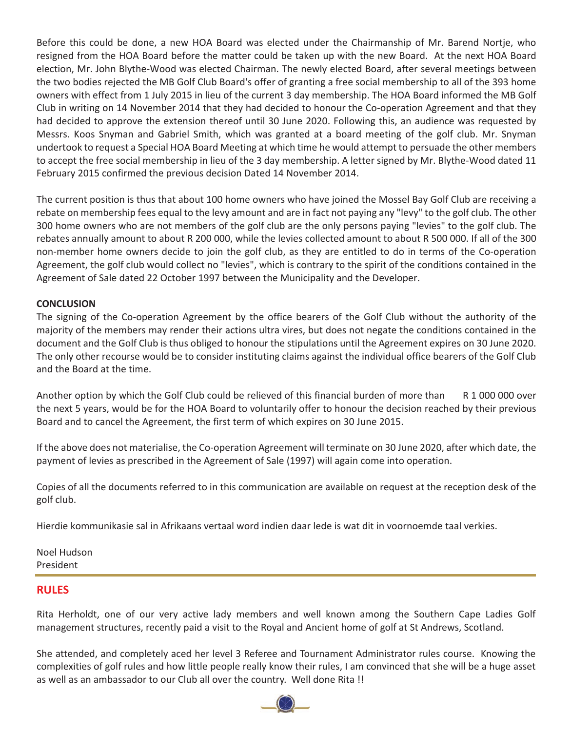Before this could be done, a new HOA Board was elected under the Chairmanship of Mr. Barend Nortje, who resigned from the HOA Board before the matter could be taken up with the new Board. At the next HOA Board election, Mr. John Blythe-Wood was elected Chairman. The newly elected Board, after several meetings between the two bodies rejected the MB Golf Club Board's offer of granting a free social membership to all of the 393 home owners with effect from 1 July 2015 in lieu of the current 3 day membership. The HOA Board informed the MB Golf Club in writing on 14 November 2014 that they had decided to honour the Co-operation Agreement and that they had decided to approve the extension thereof until 30 June 2020. Following this, an audience was requested by Messrs. Koos Snyman and Gabriel Smith, which was granted at a board meeting of the golf club. Mr. Snyman undertook to request a Special HOA Board Meeting at which time he would attempt to persuade the other members to accept the free social membership in lieu of the 3 day membership. A letter signed by Mr. Blythe-Wood dated 11 February 2015 confirmed the previous decision Dated 14 November 2014.

The current position is thus that about 100 home owners who have joined the Mossel Bay Golf Club are receiving a rebate on membership fees equal to the levy amount and are in fact not paying any "levy" to the golf club. The other 300 home owners who are not members of the golf club are the only persons paying "levies" to the golf club. The rebates annually amount to about R 200 000, while the levies collected amount to about R 500 000. If all of the 300 non-member home owners decide to join the golf club, as they are entitled to do in terms of the Co-operation Agreement, the golf club would collect no "levies", which is contrary to the spirit of the conditions contained in the Agreement of Sale dated 22 October 1997 between the Municipality and the Developer.

## **CONCLUSION**

The signing of the Co-operation Agreement by the office bearers of the Golf Club without the authority of the majority of the members may render their actions ultra vires, but does not negate the conditions contained in the document and the Golf Club is thus obliged to honour the stipulations until the Agreement expires on 30 June 2020. The only other recourse would be to consider instituting claims against the individual office bearers of the Golf Club and the Board at the time.

Another option by which the Golf Club could be relieved of this financial burden of more than R 1 000 000 over the next 5 years, would be for the HOA Board to voluntarily offer to honour the decision reached by their previous Board and to cancel the Agreement, the first term of which expires on 30 June 2015.

If the above does not materialise, the Co-operation Agreement will terminate on 30 June 2020, after which date, the payment of levies as prescribed in the Agreement of Sale (1997) will again come into operation.

Copies of all the documents referred to in this communication are available on request at the reception desk of the golf club.

Hierdie kommunikasie sal in Afrikaans vertaal word indien daar lede is wat dit in voornoemde taal verkies.

Noel Hudson President

## **RULES**

Rita Herholdt, one of our very active lady members and well known among the Southern Cape Ladies Golf management structures, recently paid a visit to the Royal and Ancient home of golf at St Andrews, Scotland.

She attended, and completely aced her level 3 Referee and Tournament Administrator rules course. Knowing the complexities of golf rules and how little people really know their rules, I am convinced that she will be a huge asset as well as an ambassador to our Club all over the country. Well done Rita !!